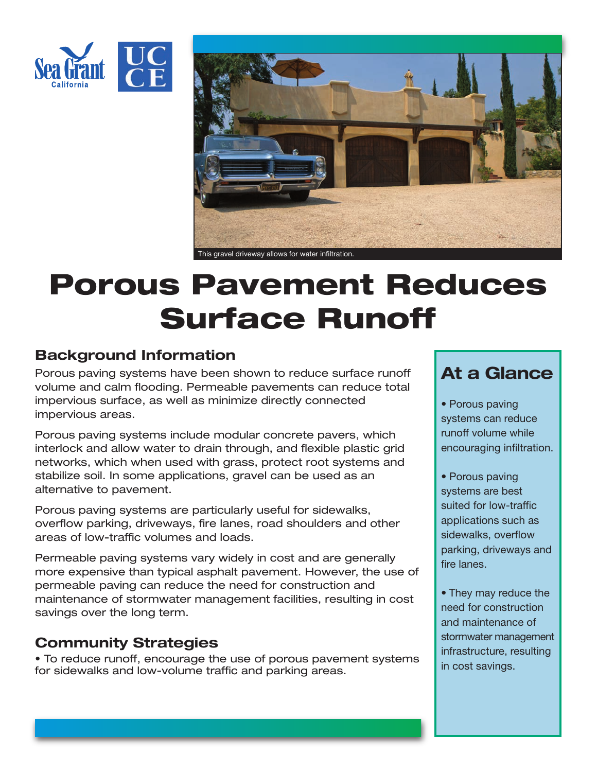



# **Porous Pavement Reduces Surface Runoff**

## **Background Information**

Porous paving systems have been shown to reduce surface runoff volume and calm flooding. Permeable pavements can reduce total impervious surface, as well as minimize directly connected impervious areas.

Porous paving systems include modular concrete pavers, which interlock and allow water to drain through, and flexible plastic grid networks, which when used with grass, protect root systems and stabilize soil. In some applications, gravel can be used as an alternative to pavement.

Porous paving systems are particularly useful for sidewalks, overflow parking, driveways, fire lanes, road shoulders and other areas of low-traffic volumes and loads.

Permeable paving systems vary widely in cost and are generally more expensive than typical asphalt pavement. However, the use of permeable paving can reduce the need for construction and maintenance of stormwater management facilities, resulting in cost savings over the long term.

## **Community Strategies**

• To reduce runoff, encourage the use of porous pavement systems for sidewalks and low-volume traffic and parking areas.

## **At a Glance**

• Porous paving systems can reduce runoff volume while encouraging infiltration.

- Porous paving systems are best suited for low-traffic applications such as sidewalks, overflow parking, driveways and fire lanes.
- They may reduce the need for construction and maintenance of stormwater management infrastructure, resulting in cost savings.